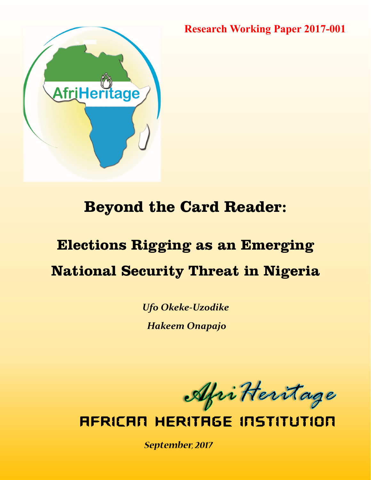**Research Working Paper 2017-001**



# **Beyond the Card Reader:**

# **Elections Rigging as an Emerging National Security Threat in Nigeria**

*Ufo Okeke-Uzodike Hakeem Onapajo*

AfriKeritage

**AFRICAN HERITAGE INSTITUTION** 

September, 2017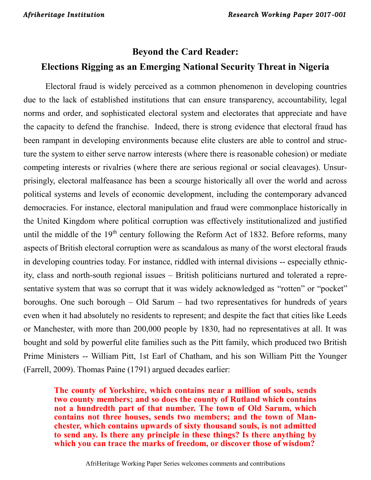# **Beyond the Card Reader: Elections Rigging as an Emerging National Security Threat in Nigeria**

Electoral fraud is widely perceived as a common phenomenon in developing countries due to the lack of established institutions that can ensure transparency, accountability, legal norms and order, and sophisticated electoral system and electorates that appreciate and have the capacity to defend the franchise. Indeed, there is strong evidence that electoral fraud has been rampant in developing environments because elite clusters are able to control and structure the system to either serve narrow interests (where there is reasonable cohesion) or mediate competing interests or rivalries (where there are serious regional or social cleavages). Unsurprisingly, electoral malfeasance has been a scourge historically all over the world and across political systems and levels of economic development, including the contemporary advanced democracies. For instance, electoral manipulation and fraud were commonplace historically in the United Kingdom where political corruption was effectively institutionalized and justified until the middle of the  $19<sup>th</sup>$  century following the Reform Act of 1832. Before reforms, many aspects of British electoral corruption were as scandalous as many of the worst electoral frauds in developing countries today. For instance, riddled with internal divisions -- especially ethnicity, class and north-south regional issues – British politicians nurtured and tolerated a representative system that was so corrupt that it was widely acknowledged as "rotten" or "pocket" boroughs. One such borough – Old Sarum – had two representatives for hundreds of years even when it had absolutely no residents to represent; and despite the fact that cities like Leeds or Manchester, with more than 200,000 people by 1830, had no representatives at all. It was bought and sold by powerful elite families such as the Pitt family, which produced two British Prime Ministers -- William Pitt, 1st Earl of Chatham, and his son William Pitt the Younger (Farrell, 2009). Thomas Paine (1791) argued decades earlier:

**The county of Yorkshire, which contains near a million of souls, sends two county members; and so does the county of Rutland which contains not a hundredth part of that number. The town of Old Sarum, which contains not three houses, sends two members; and the town of Manchester, which contains upwards of sixty thousand souls, is not admitted to send any. Is there any principle in these things? Is there anything by which you can trace the marks of freedom, or discover those of wisdom?**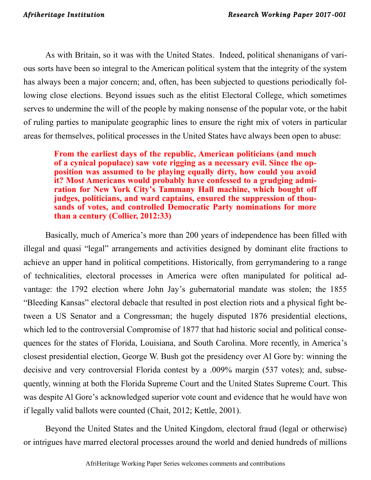As with Britain, so it was with the United States. Indeed, political shenanigans of various sorts have been so integral to the American political system that the integrity of the system has always been a major concern; and, often, has been subjected to questions periodically following close elections. Beyond issues such as the elitist Electoral College, which sometimes serves to undermine the will of the people by making nonsense of the popular vote, or the habit of ruling parties to manipulate geographic lines to ensure the right mix of voters in particular areas for themselves, political processes in the United States have always been open to abuse:

**From the earliest days of the republic, American politicians (and much of a cynical populace) saw vote rigging as a necessary evil. Since the opposition was assumed to be playing equally dirty, how could you avoid it? Most Americans would probably have confessed to a grudging admiration for New York City's Tammany Hall machine, which bought off judges, politicians, and ward captains, ensured the suppression of thousands of votes, and controlled Democratic Party nominations for more than a century (Collier, 2012:33)**

Basically, much of America's more than 200 years of independence has been filled with illegal and quasi "legal" arrangements and activities designed by dominant elite fractions to achieve an upper hand in political competitions. Historically, from gerrymandering to a range of technicalities, electoral processes in America were often manipulated for political advantage: the 1792 election where John Jay's gubernatorial mandate was stolen; the 1855 "Bleeding Kansas" electoral debacle that resulted in post election riots and a physical fight between a US Senator and a Congressman; the hugely disputed 1876 presidential elections, which led to the controversial Compromise of 1877 that had historic social and political consequences for the states of Florida, Louisiana, and South Carolina. More recently, in America's closest presidential election, George W. Bush got the presidency over Al Gore by: winning the decisive and very controversial Florida contest by a .009% margin (537 votes); and, subsequently, winning at both the Florida Supreme Court and the United States Supreme Court. This was despite Al Gore's acknowledged superior vote count and evidence that he would have won if legally valid ballots were counted (Chait, 2012; Kettle, 2001).

Beyond the United States and the United Kingdom, electoral fraud (legal or otherwise) or intrigues have marred electoral processes around the world and denied hundreds of millions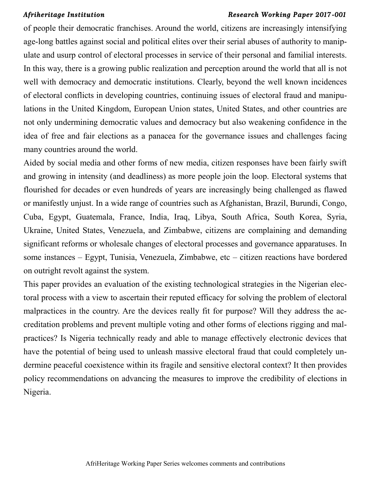of people their democratic franchises. Around the world, citizens are increasingly intensifying age-long battles against social and political elites over their serial abuses of authority to manipulate and usurp control of electoral processes in service of their personal and familial interests. In this way, there is a growing public realization and perception around the world that all is not well with democracy and democratic institutions. Clearly, beyond the well known incidences of electoral conflicts in developing countries, continuing issues of electoral fraud and manipulations in the United Kingdom, European Union states, United States, and other countries are not only undermining democratic values and democracy but also weakening confidence in the idea of free and fair elections as a panacea for the governance issues and challenges facing many countries around the world.

Aided by social media and other forms of new media, citizen responses have been fairly swift and growing in intensity (and deadliness) as more people join the loop. Electoral systems that flourished for decades or even hundreds of years are increasingly being challenged as flawed or manifestly unjust. In a wide range of countries such as Afghanistan, Brazil, Burundi, Congo, Cuba, Egypt, Guatemala, France, India, Iraq, Libya, South Africa, South Korea, Syria, Ukraine, United States, Venezuela, and Zimbabwe, citizens are complaining and demanding significant reforms or wholesale changes of electoral processes and governance apparatuses. In some instances – Egypt, Tunisia, Venezuela, Zimbabwe, etc – citizen reactions have bordered on outright revolt against the system.

This paper provides an evaluation of the existing technological strategies in the Nigerian electoral process with a view to ascertain their reputed efficacy for solving the problem of electoral malpractices in the country. Are the devices really fit for purpose? Will they address the accreditation problems and prevent multiple voting and other forms of elections rigging and malpractices? Is Nigeria technically ready and able to manage effectively electronic devices that have the potential of being used to unleash massive electoral fraud that could completely undermine peaceful coexistence within its fragile and sensitive electoral context? It then provides policy recommendations on advancing the measures to improve the credibility of elections in Nigeria.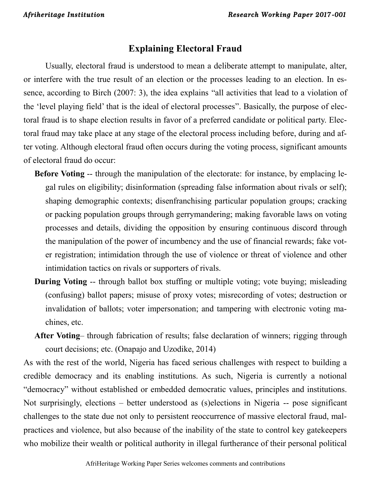# **Explaining Electoral Fraud**

Usually, electoral fraud is understood to mean a deliberate attempt to manipulate, alter, or interfere with the true result of an election or the processes leading to an election. In essence, according to Birch (2007: 3), the idea explains "all activities that lead to a violation of the 'level playing field' that is the ideal of electoral processes". Basically, the purpose of electoral fraud is to shape election results in favor of a preferred candidate or political party. Electoral fraud may take place at any stage of the electoral process including before, during and after voting. Although electoral fraud often occurs during the voting process, significant amounts of electoral fraud do occur:

- **Before Voting** -- through the manipulation of the electorate: for instance, by emplacing legal rules on eligibility; disinformation (spreading false information about rivals or self); shaping demographic contexts; disenfranchising particular population groups; cracking or packing population groups through gerrymandering; making favorable laws on voting processes and details, dividing the opposition by ensuring continuous discord through the manipulation of the power of incumbency and the use of financial rewards; fake voter registration; intimidation through the use of violence or threat of violence and other intimidation tactics on rivals or supporters of rivals.
- **During Voting** -- through ballot box stuffing or multiple voting; vote buying; misleading (confusing) ballot papers; misuse of proxy votes; misrecording of votes; destruction or invalidation of ballots; voter impersonation; and tampering with electronic voting machines, etc.
- **After Voting** through fabrication of results; false declaration of winners; rigging through court decisions; etc. (Onapajo and Uzodike, 2014)

As with the rest of the world, Nigeria has faced serious challenges with respect to building a credible democracy and its enabling institutions. As such, Nigeria is currently a notional "democracy" without established or embedded democratic values, principles and institutions. Not surprisingly, elections – better understood as (s)elections in Nigeria -- pose significant challenges to the state due not only to persistent reoccurrence of massive electoral fraud, malpractices and violence, but also because of the inability of the state to control key gatekeepers who mobilize their wealth or political authority in illegal furtherance of their personal political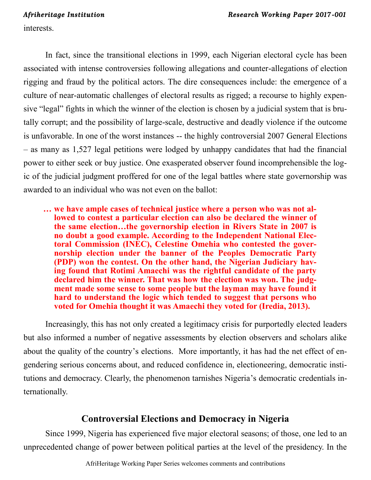interests.

In fact, since the transitional elections in 1999, each Nigerian electoral cycle has been associated with intense controversies following allegations and counter-allegations of election rigging and fraud by the political actors. The dire consequences include: the emergence of a culture of near-automatic challenges of electoral results as rigged; a recourse to highly expensive "legal" fights in which the winner of the election is chosen by a judicial system that is brutally corrupt; and the possibility of large-scale, destructive and deadly violence if the outcome is unfavorable. In one of the worst instances -- the highly controversial 2007 General Elections – as many as 1,527 legal petitions were lodged by unhappy candidates that had the financial power to either seek or buy justice. One exasperated observer found incomprehensible the logic of the judicial judgment proffered for one of the legal battles where state governorship was awarded to an individual who was not even on the ballot:

**… we have ample cases of technical justice where a person who was not allowed to contest a particular election can also be declared the winner of the same election…the governorship election in Rivers State in 2007 is no doubt a good example. According to the Independent National Electoral Commission (INEC), Celestine Omehia who contested the governorship election under the banner of the Peoples Democratic Party (PDP) won the contest. On the other hand, the Nigerian Judiciary having found that Rotimi Amaechi was the rightful candidate of the party declared him the winner. That was how the election was won. The judgment made some sense to some people but the layman may have found it hard to understand the logic which tended to suggest that persons who voted for Omehia thought it was Amaechi they voted for (Iredia, 2013).**

Increasingly, this has not only created a legitimacy crisis for purportedly elected leaders but also informed a number of negative assessments by election observers and scholars alike about the quality of the country's elections. More importantly, it has had the net effect of engendering serious concerns about, and reduced confidence in, electioneering, democratic institutions and democracy. Clearly, the phenomenon tarnishes Nigeria's democratic credentials internationally.

# **Controversial Elections and Democracy in Nigeria**

Since 1999, Nigeria has experienced five major electoral seasons; of those, one led to an unprecedented change of power between political parties at the level of the presidency. In the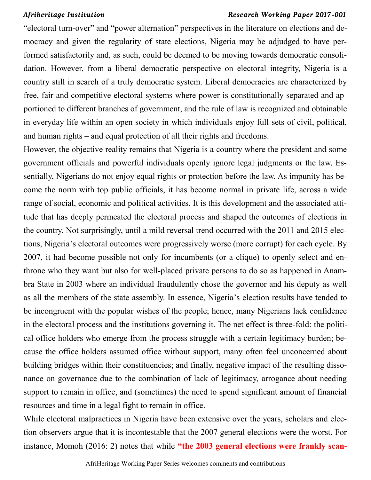"electoral turn-over" and "power alternation" perspectives in the literature on elections and democracy and given the regularity of state elections, Nigeria may be adjudged to have performed satisfactorily and, as such, could be deemed to be moving towards democratic consolidation. However, from a liberal democratic perspective on electoral integrity, Nigeria is a country still in search of a truly democratic system. Liberal democracies are characterized by free, fair and competitive electoral systems where power is constitutionally separated and apportioned to different branches of government, and the rule of law is recognized and obtainable in everyday life within an open society in which individuals enjoy full sets of civil, political, and human rights – and equal protection of all their rights and freedoms.

However, the objective reality remains that Nigeria is a country where the president and some government officials and powerful individuals openly ignore legal judgments or the law. Essentially, Nigerians do not enjoy equal rights or protection before the law. As impunity has become the norm with top public officials, it has become normal in private life, across a wide range of social, economic and political activities. It is this development and the associated attitude that has deeply permeated the electoral process and shaped the outcomes of elections in the country. Not surprisingly, until a mild reversal trend occurred with the 2011 and 2015 elections, Nigeria's electoral outcomes were progressively worse (more corrupt) for each cycle. By 2007, it had become possible not only for incumbents (or a clique) to openly select and enthrone who they want but also for well-placed private persons to do so as happened in Anambra State in 2003 where an individual fraudulently chose the governor and his deputy as well as all the members of the state assembly. In essence, Nigeria's election results have tended to be incongruent with the popular wishes of the people; hence, many Nigerians lack confidence in the electoral process and the institutions governing it. The net effect is three-fold: the political office holders who emerge from the process struggle with a certain legitimacy burden; because the office holders assumed office without support, many often feel unconcerned about building bridges within their constituencies; and finally, negative impact of the resulting dissonance on governance due to the combination of lack of legitimacy, arrogance about needing support to remain in office, and (sometimes) the need to spend significant amount of financial resources and time in a legal fight to remain in office.

While electoral malpractices in Nigeria have been extensive over the years, scholars and election observers argue that it is incontestable that the 2007 general elections were the worst. For instance, Momoh (2016: 2) notes that while **"the 2003 general elections were frankly scan-**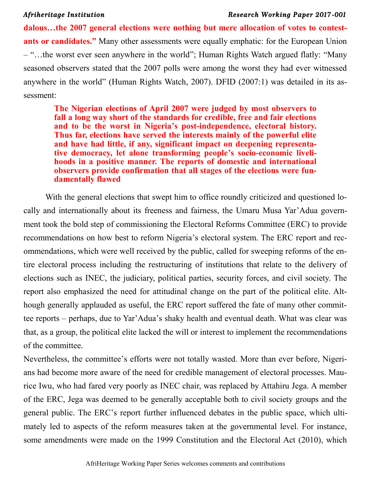**dalous…the 2007 general elections were nothing but mere allocation of votes to contestants or candidates."** Many other assessments were equally emphatic: for the European Union – "…the worst ever seen anywhere in the world"; Human Rights Watch argued flatly: "Many seasoned observers stated that the 2007 polls were among the worst they had ever witnessed anywhere in the world" (Human Rights Watch, 2007). DFID (2007:1) was detailed in its assessment:

**The Nigerian elections of April 2007 were judged by most observers to fall a long way short of the standards for credible, free and fair elections and to be the worst in Nigeria's post-independence, electoral history. Thus far, elections have served the interests mainly of the powerful elite and have had little, if any, significant impact on deepening representative democracy, let alone transforming people's socio-economic livelihoods in a positive manner. The reports of domestic and international observers provide confirmation that all stages of the elections were fundamentally flawed**

With the general elections that swept him to office roundly criticized and questioned locally and internationally about its freeness and fairness, the Umaru Musa Yar'Adua government took the bold step of commissioning the Electoral Reforms Committee (ERC) to provide recommendations on how best to reform Nigeria's electoral system. The ERC report and recommendations, which were well received by the public, called for sweeping reforms of the entire electoral process including the restructuring of institutions that relate to the delivery of elections such as INEC, the judiciary, political parties, security forces, and civil society. The report also emphasized the need for attitudinal change on the part of the political elite. Although generally applauded as useful, the ERC report suffered the fate of many other committee reports – perhaps, due to Yar'Adua's shaky health and eventual death. What was clear was that, as a group, the political elite lacked the will or interest to implement the recommendations of the committee.

Nevertheless, the committee's efforts were not totally wasted. More than ever before, Nigerians had become more aware of the need for credible management of electoral processes. Maurice Iwu, who had fared very poorly as INEC chair, was replaced by Attahiru Jega. A member of the ERC, Jega was deemed to be generally acceptable both to civil society groups and the general public. The ERC's report further influenced debates in the public space, which ultimately led to aspects of the reform measures taken at the governmental level. For instance, some amendments were made on the 1999 Constitution and the Electoral Act (2010), which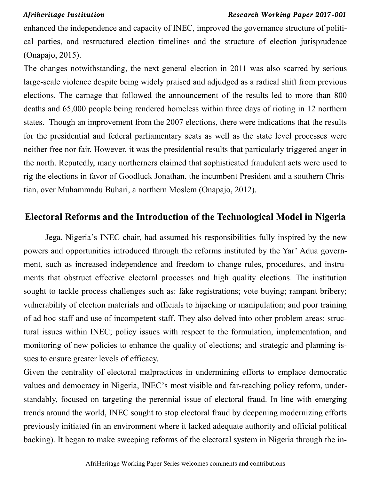enhanced the independence and capacity of INEC, improved the governance structure of political parties, and restructured election timelines and the structure of election jurisprudence (Onapajo, 2015).

The changes notwithstanding, the next general election in 2011 was also scarred by serious large-scale violence despite being widely praised and adjudged as a radical shift from previous elections. The carnage that followed the announcement of the results led to more than 800 deaths and 65,000 people being rendered homeless within three days of rioting in 12 northern states. Though an improvement from the 2007 elections, there were indications that the results for the presidential and federal parliamentary seats as well as the state level processes were neither free nor fair. However, it was the presidential results that particularly triggered anger in the north. Reputedly, many northerners claimed that sophisticated fraudulent acts were used to rig the elections in favor of Goodluck Jonathan, the incumbent President and a southern Christian, over Muhammadu Buhari, a northern Moslem (Onapajo, 2012).

## **Electoral Reforms and the Introduction of the Technological Model in Nigeria**

Jega, Nigeria's INEC chair, had assumed his responsibilities fully inspired by the new powers and opportunities introduced through the reforms instituted by the Yar' Adua government, such as increased independence and freedom to change rules, procedures, and instruments that obstruct effective electoral processes and high quality elections. The institution sought to tackle process challenges such as: fake registrations; vote buying; rampant bribery; vulnerability of election materials and officials to hijacking or manipulation; and poor training of ad hoc staff and use of incompetent staff. They also delved into other problem areas: structural issues within INEC; policy issues with respect to the formulation, implementation, and monitoring of new policies to enhance the quality of elections; and strategic and planning issues to ensure greater levels of efficacy.

Given the centrality of electoral malpractices in undermining efforts to emplace democratic values and democracy in Nigeria, INEC's most visible and far-reaching policy reform, understandably, focused on targeting the perennial issue of electoral fraud. In line with emerging trends around the world, INEC sought to stop electoral fraud by deepening modernizing efforts previously initiated (in an environment where it lacked adequate authority and official political backing). It began to make sweeping reforms of the electoral system in Nigeria through the in-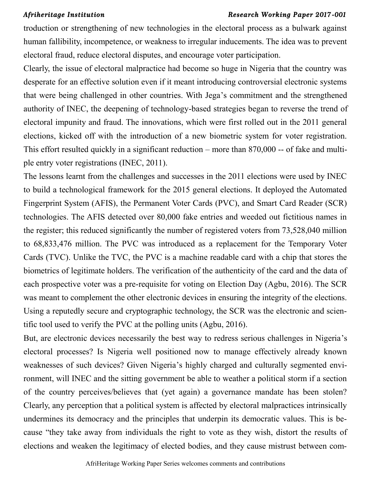troduction or strengthening of new technologies in the electoral process as a bulwark against human fallibility, incompetence, or weakness to irregular inducements. The idea was to prevent electoral fraud, reduce electoral disputes, and encourage voter participation.

Clearly, the issue of electoral malpractice had become so huge in Nigeria that the country was desperate for an effective solution even if it meant introducing controversial electronic systems that were being challenged in other countries. With Jega's commitment and the strengthened authority of INEC, the deepening of technology-based strategies began to reverse the trend of electoral impunity and fraud. The innovations, which were first rolled out in the 2011 general elections, kicked off with the introduction of a new biometric system for voter registration. This effort resulted quickly in a significant reduction – more than 870,000 -- of fake and multiple entry voter registrations (INEC, 2011).

The lessons learnt from the challenges and successes in the 2011 elections were used by INEC to build a technological framework for the 2015 general elections. It deployed the Automated Fingerprint System (AFIS), the Permanent Voter Cards (PVC), and Smart Card Reader (SCR) technologies. The AFIS detected over 80,000 fake entries and weeded out fictitious names in the register; this reduced significantly the number of registered voters from 73,528,040 million to 68,833,476 million. The PVC was introduced as a replacement for the Temporary Voter Cards (TVC). Unlike the TVC, the PVC is a machine readable card with a chip that stores the biometrics of legitimate holders. The verification of the authenticity of the card and the data of each prospective voter was a pre-requisite for voting on Election Day (Agbu, 2016). The SCR was meant to complement the other electronic devices in ensuring the integrity of the elections. Using a reputedly secure and cryptographic technology, the SCR was the electronic and scientific tool used to verify the PVC at the polling units (Agbu, 2016).

But, are electronic devices necessarily the best way to redress serious challenges in Nigeria's electoral processes? Is Nigeria well positioned now to manage effectively already known weaknesses of such devices? Given Nigeria's highly charged and culturally segmented environment, will INEC and the sitting government be able to weather a political storm if a section of the country perceives/believes that (yet again) a governance mandate has been stolen? Clearly, any perception that a political system is affected by electoral malpractices intrinsically undermines its democracy and the principles that underpin its democratic values. This is because "they take away from individuals the right to vote as they wish, distort the results of elections and weaken the legitimacy of elected bodies, and they cause mistrust between com-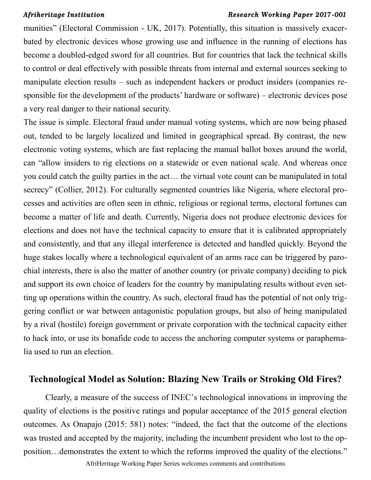munities" (Electoral Commission - UK, 2017). Potentially, this situation is massively exacerbated by electronic devices whose growing use and influence in the running of elections has become a doubled-edged sword for all countries. But for countries that lack the technical skills to control or deal effectively with possible threats from internal and external sources seeking to manipulate election results – such as independent hackers or product insiders (companies responsible for the development of the products' hardware or software) – electronic devices pose a very real danger to their national security.

The issue is simple. Electoral fraud under manual voting systems, which are now being phased out, tended to be largely localized and limited in geographical spread. By contrast, the new electronic voting systems, which are fast replacing the manual ballot boxes around the world, can "allow insiders to rig elections on a statewide or even national scale. And whereas once you could catch the guilty parties in the act… the virtual vote count can be manipulated in total secrecy" (Collier, 2012). For culturally segmented countries like Nigeria, where electoral processes and activities are often seen in ethnic, religious or regional terms, electoral fortunes can become a matter of life and death. Currently, Nigeria does not produce electronic devices for elections and does not have the technical capacity to ensure that it is calibrated appropriately and consistently, and that any illegal interference is detected and handled quickly. Beyond the huge stakes locally where a technological equivalent of an arms race can be triggered by parochial interests, there is also the matter of another country (or private company) deciding to pick and support its own choice of leaders for the country by manipulating results without even setting up operations within the country. As such, electoral fraud has the potential of not only triggering conflict or war between antagonistic population groups, but also of being manipulated by a rival (hostile) foreign government or private corporation with the technical capacity either to hack into, or use its bonafide code to access the anchoring computer systems or paraphernalia used to run an election.

## **Technological Model as Solution: Blazing New Trails or Stroking Old Fires?**

Clearly, a measure of the success of INEC's technological innovations in improving the quality of elections is the positive ratings and popular acceptance of the 2015 general election outcomes. As Onapajo (2015: 581) notes: "indeed, the fact that the outcome of the elections was trusted and accepted by the majority, including the incumbent president who lost to the opposition…demonstrates the extent to which the reforms improved the quality of the elections."

AfriHeritage Working Paper Series welcomes comments and contributions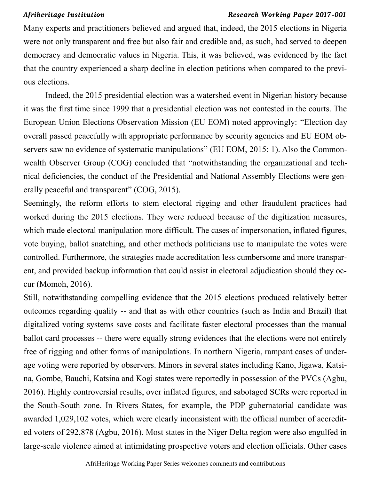Many experts and practitioners believed and argued that, indeed, the 2015 elections in Nigeria were not only transparent and free but also fair and credible and, as such, had served to deepen democracy and democratic values in Nigeria. This, it was believed, was evidenced by the fact that the country experienced a sharp decline in election petitions when compared to the previous elections.

Indeed, the 2015 presidential election was a watershed event in Nigerian history because it was the first time since 1999 that a presidential election was not contested in the courts. The European Union Elections Observation Mission (EU EOM) noted approvingly: "Election day overall passed peacefully with appropriate performance by security agencies and EU EOM observers saw no evidence of systematic manipulations" (EU EOM, 2015: 1). Also the Commonwealth Observer Group (COG) concluded that "notwithstanding the organizational and technical deficiencies, the conduct of the Presidential and National Assembly Elections were generally peaceful and transparent" (COG, 2015).

Seemingly, the reform efforts to stem electoral rigging and other fraudulent practices had worked during the 2015 elections. They were reduced because of the digitization measures, which made electoral manipulation more difficult. The cases of impersonation, inflated figures, vote buying, ballot snatching, and other methods politicians use to manipulate the votes were controlled. Furthermore, the strategies made accreditation less cumbersome and more transparent, and provided backup information that could assist in electoral adjudication should they occur (Momoh, 2016).

Still, notwithstanding compelling evidence that the 2015 elections produced relatively better outcomes regarding quality -- and that as with other countries (such as India and Brazil) that digitalized voting systems save costs and facilitate faster electoral processes than the manual ballot card processes -- there were equally strong evidences that the elections were not entirely free of rigging and other forms of manipulations. In northern Nigeria, rampant cases of underage voting were reported by observers. Minors in several states including Kano, Jigawa, Katsina, Gombe, Bauchi, Katsina and Kogi states were reportedly in possession of the PVCs (Agbu, 2016). Highly controversial results, over inflated figures, and sabotaged SCRs were reported in the South-South zone. In Rivers States, for example, the PDP gubernatorial candidate was awarded 1,029,102 votes, which were clearly inconsistent with the official number of accredited voters of 292,878 (Agbu, 2016). Most states in the Niger Delta region were also engulfed in large-scale violence aimed at intimidating prospective voters and election officials. Other cases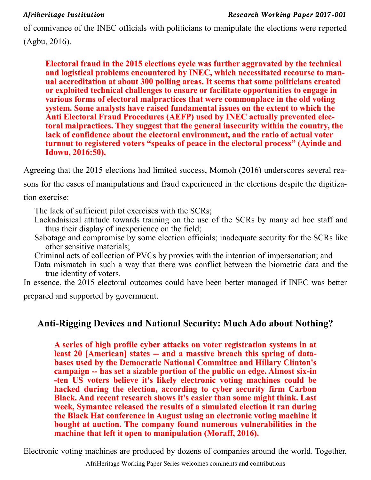of connivance of the INEC officials with politicians to manipulate the elections were reported (Agbu, 2016).

**Electoral fraud in the 2015 elections cycle was further aggravated by the technical and logistical problems encountered by INEC, which necessitated recourse to manual accreditation at about 300 polling areas. It seems that some politicians created or exploited technical challenges to ensure or facilitate opportunities to engage in various forms of electoral malpractices that were commonplace in the old voting system. Some analysts have raised fundamental issues on the extent to which the Anti Electoral Fraud Procedures (AEFP) used by INEC actually prevented electoral malpractices. They suggest that the general insecurity within the country, the lack of confidence about the electoral environment, and the ratio of actual voter turnout to registered voters "speaks of peace in the electoral process" [\(Ayinde](https://journals.co.za/search?value1=Aremu+Fatai+Ayinde&option1=author&option912=resultCategory&value912=ResearchPublicationContent) and [Idowu,](https://journals.co.za/search?value1=Aluko+Opeyemi+Idowu&option1=author&option912=resultCategory&value912=ResearchPublicationContent) 2016:50).** 

Agreeing that the 2015 elections had limited success, Momoh (2016) underscores several reasons for the cases of manipulations and fraud experienced in the elections despite the digitization exercise:

The lack of sufficient pilot exercises with the SCRs;

- Lackadaisical attitude towards training on the use of the SCRs by many ad hoc staff and thus their display of inexperience on the field;
- Sabotage and compromise by some election officials; inadequate security for the SCRs like other sensitive materials;
- Criminal acts of collection of PVCs by proxies with the intention of impersonation; and
- Data mismatch in such a way that there was conflict between the biometric data and the true identity of voters.

In essence, the 2015 electoral outcomes could have been better managed if INEC was better prepared and supported by government.

# **Anti-Rigging Devices and National Security: Much Ado about Nothing?**

**A series of high profile cyber attacks on voter registration systems in at least 20 [American] states -- and a massive breach this spring of databases used by the Democratic National Committee and Hillary Clinton's campaign -- has set a sizable portion of the public on edge. Almost six-in -ten US voters believe it's likely electronic voting machines could be hacked during the election, according to cyber security firm Carbon Black. And recent research shows it's easier than some might think. Last week, Symantec released the results of a simulated election it ran during the Black Hat conference in August using an electronic voting machine it bought at auction. The company found numerous vulnerabilities in the machine that left it open to manipulation (Moraff, 2016).**

Electronic voting machines are produced by dozens of companies around the world. Together,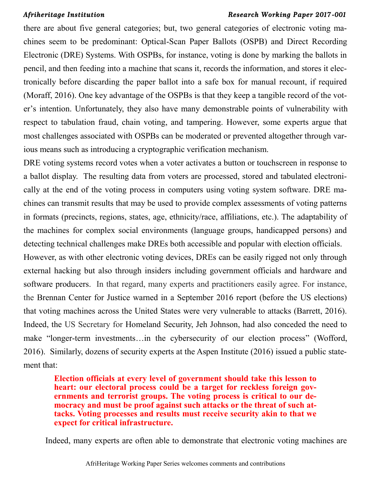there are about five general categories; but, two general categories of electronic voting machines seem to be predominant: Optical-Scan Paper Ballots (OSPB) and Direct Recording Electronic (DRE) Systems. With OSPBs, for instance, voting is done by marking the ballots in pencil, and then feeding into a machine that scans it, records the information, and stores it electronically before discarding the paper ballot into a safe box for manual recount, if required (Moraff, 2016). One key advantage of the OSPBs is that they keep a tangible record of the voter's intention. Unfortunately, they also have many demonstrable points of vulnerability with respect to tabulation fraud, chain voting, and tampering. However, some experts argue that most challenges associated with OSPBs can be moderated or prevented altogether through various means such as introducing a cryptographic verification mechanism.

DRE voting systems record votes when a voter activates a button or touchscreen in response to a ballot display. The resulting data from voters are processed, stored and tabulated electronically at the end of the voting process in computers using voting system software. DRE machines can transmit results that may be used to provide complex assessments of voting patterns in formats (precincts, regions, states, age, ethnicity/race, affiliations, etc.). The adaptability of the machines for complex social environments (language groups, handicapped persons) and detecting technical challenges make DREs both accessible and popular with election officials.

However, as with other electronic voting devices, DREs can be easily rigged not only through external hacking but also through insiders including government officials and hardware and software producers. In that regard, many experts and practitioners easily agree. For instance, the Brennan Center for Justice warned in a September 2016 report (before the US elections) that voting machines across the United States were very vulnerable to attacks (Barrett, 2016). Indeed, the US Secretary for Homeland Security, Jeh Johnson, had also conceded the need to make "longer-term investments…in the cybersecurity of our election process" (Wofford, 2016). Similarly, dozens of security experts at the Aspen Institute (2016) issued a public statement that:

**Election officials at every level of government should take this lesson to heart: our electoral process could be a target for reckless foreign governments and terrorist groups. The voting process is critical to our democracy and must be proof against such attacks or the threat of such attacks. Voting processes and results must receive security akin to that we expect for critical infrastructure.**

Indeed, many experts are often able to demonstrate that electronic voting machines are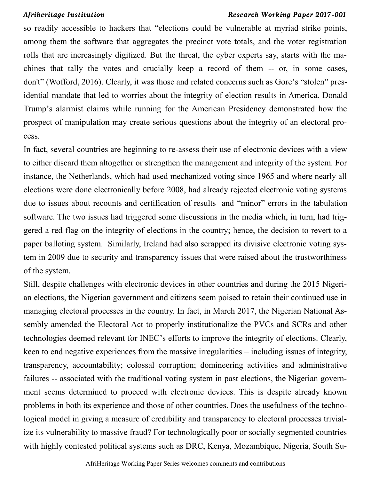so readily accessible to hackers that "elections could be vulnerable at myriad strike points, among them the software that aggregates the precinct vote totals, and the voter registration rolls that are increasingly digitized. But the threat, the cyber experts say, starts with the machines that tally the votes and crucially keep a record of them -- or, in some cases, don't" (Wofford, 2016). Clearly, it was those and related concerns such as Gore's "stolen" presidential mandate that led to worries about the integrity of election results in America. Donald Trump's alarmist claims while running for the American Presidency demonstrated how the prospect of manipulation may create serious questions about the integrity of an electoral process.

In fact, several countries are beginning to re-assess their use of electronic devices with a view to either discard them altogether or strengthen the management and integrity of the system. For instance, the Netherlands, which had used mechanized voting since 1965 and where nearly all elections were done electronically before 2008, had already rejected electronic voting systems due to issues about recounts and certification of results and "minor" errors in the tabulation software. The two issues had triggered some discussions in the media which, in turn, had triggered a red flag on the integrity of elections in the country; hence, the decision to revert to a paper balloting system. Similarly, Ireland had also scrapped its divisive electronic voting system in 2009 due to security and transparency issues that were raised about the trustworthiness of the system.

Still, despite challenges with electronic devices in other countries and during the 2015 Nigerian elections, the Nigerian government and citizens seem poised to retain their continued use in managing electoral processes in the country. In fact, in March 2017, the Nigerian National Assembly amended the Electoral Act to properly institutionalize the PVCs and SCRs and other technologies deemed relevant for INEC's efforts to improve the integrity of elections. Clearly, keen to end negative experiences from the massive irregularities – including issues of integrity, transparency, accountability; colossal corruption; domineering activities and administrative failures -- associated with the traditional voting system in past elections, the Nigerian government seems determined to proceed with electronic devices. This is despite already known problems in both its experience and those of other countries. Does the usefulness of the technological model in giving a measure of credibility and transparency to electoral processes trivialize its vulnerability to massive fraud? For technologically poor or socially segmented countries with highly contested political systems such as DRC, Kenya, Mozambique, Nigeria, South Su-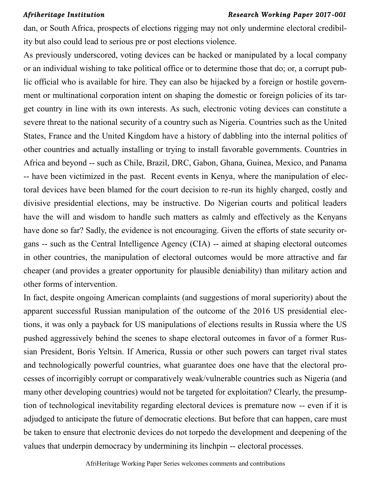dan, or South Africa, prospects of elections rigging may not only undermine electoral credibility but also could lead to serious pre or post elections violence.

As previously underscored, voting devices can be hacked or manipulated by a local company or an individual wishing to take political office or to determine those that do; or, a corrupt public official who is available for hire. They can also be hijacked by a foreign or hostile government or multinational corporation intent on shaping the domestic or foreign policies of its target country in line with its own interests. As such, electronic voting devices can constitute a severe threat to the national security of a country such as Nigeria. Countries such as the United States, France and the United Kingdom have a history of dabbling into the internal politics of other countries and actually installing or trying to install favorable governments. Countries in Africa and beyond -- such as Chile, Brazil, DRC, Gabon, Ghana, Guinea, Mexico, and Panama -- have been victimized in the past. Recent events in Kenya, where the manipulation of electoral devices have been blamed for the court decision to re-run its highly charged, costly and divisive presidential elections, may be instructive. Do Nigerian courts and political leaders have the will and wisdom to handle such matters as calmly and effectively as the Kenyans have done so far? Sadly, the evidence is not encouraging. Given the efforts of state security organs -- such as the Central Intelligence Agency (CIA) -- aimed at shaping electoral outcomes in other countries, the manipulation of electoral outcomes would be more attractive and far cheaper (and provides a greater opportunity for plausible deniability) than military action and other forms of intervention.

In fact, despite ongoing American complaints (and suggestions of moral superiority) about the apparent successful Russian manipulation of the outcome of the 2016 US presidential elections, it was only a payback for US manipulations of elections results in Russia where the US pushed aggressively behind the scenes to shape electoral outcomes in favor of a former Russian President, Boris Yeltsin. If America, Russia or other such powers can target rival states and technologically powerful countries, what guarantee does one have that the electoral processes of incorrigibly corrupt or comparatively weak/vulnerable countries such as Nigeria (and many other developing countries) would not be targeted for exploitation? Clearly, the presumption of technological inevitability regarding electoral devices is premature now -- even if it is adjudged to anticipate the future of democratic elections. But before that can happen, care must be taken to ensure that electronic devices do not torpedo the development and deepening of the values that underpin democracy by undermining its linchpin -- electoral processes.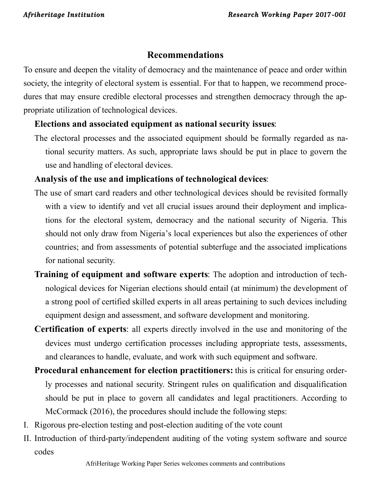# **Recommendations**

To ensure and deepen the vitality of democracy and the maintenance of peace and order within society, the integrity of electoral system is essential. For that to happen, we recommend procedures that may ensure credible electoral processes and strengthen democracy through the appropriate utilization of technological devices.

# **Elections and associated equipment as national security issues**:

The electoral processes and the associated equipment should be formally regarded as national security matters. As such, appropriate laws should be put in place to govern the use and handling of electoral devices.

# **Analysis of the use and implications of technological devices**:

- The use of smart card readers and other technological devices should be revisited formally with a view to identify and vet all crucial issues around their deployment and implications for the electoral system, democracy and the national security of Nigeria. This should not only draw from Nigeria's local experiences but also the experiences of other countries; and from assessments of potential subterfuge and the associated implications for national security.
- **Training of equipment and software experts**: The adoption and introduction of technological devices for Nigerian elections should entail (at minimum) the development of a strong pool of certified skilled experts in all areas pertaining to such devices including equipment design and assessment, and software development and monitoring.
- **Certification of experts**: all experts directly involved in the use and monitoring of the devices must undergo certification processes including appropriate tests, assessments, and clearances to handle, evaluate, and work with such equipment and software.
- **Procedural enhancement for election practitioners:** this is critical for ensuring orderly processes and national security. Stringent rules on qualification and disqualification should be put in place to govern all candidates and legal practitioners. According to McCormack (2016), the procedures should include the following steps:
- I. Rigorous pre-election testing and post-election auditing of the vote count
- II. Introduction of third-party/independent auditing of the voting system software and source codes